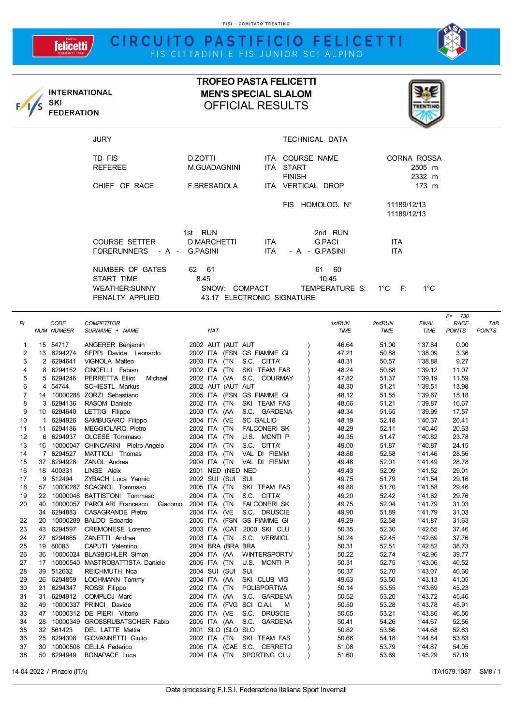FISI - COMITATO TRENTINO

## **felicetti**

**INTERNATIONAL** 

**FEDERATION** 

SKI

/s





## **TROFEO PASTA FELICETTI MEN'S SPECIAL SLALOM** OFFICIAL RESULTS



| <b>JURY</b>                                                       |                                                                 |                    | TECHNICAL DATA                                |                                 |                 |  |
|-------------------------------------------------------------------|-----------------------------------------------------------------|--------------------|-----------------------------------------------|---------------------------------|-----------------|--|
| TD FIS<br><b>REFEREE</b>                                          | D.ZOTTI<br>M.GUADAGNINI                                         |                    | ITA COURSE NAME<br>ITA START<br><b>FINISH</b> | CORNA ROSSA<br>2505 m<br>2332 m |                 |  |
| CHIEF OF RACE                                                     | F.BRESADOLA                                                     |                    | ITA VERTICAL DROP                             |                                 | $173 \text{ m}$ |  |
|                                                                   |                                                                 |                    | FIS HOMOLOG. N°                               | 11189/12/13<br>11189/12/13      |                 |  |
| COURSE SETTER<br>FORERUNNERS - A - G.PASINI                       | 1st RUN<br>D.MARCHETTI                                          | ITA.<br><b>ITA</b> | 2nd RUN<br>G.PACI<br>- A - G.PASINI           | ITA.<br><b>ITA</b>              |                 |  |
| NUMBER OF GATES<br>START TIME<br>WEATHER:SUNNY<br>PENALTY APPLIED | 62 61<br>8.45<br>SNOW:<br>COMPACT<br>43.17 ELECTRONIC SIGNATURE |                    | 61<br>- 60<br>10.45<br>TEMPERATURE S: 1°C F:  |                                 | $1^{\circ}$ C   |  |

|                |                |                   |                                        |                                           |             |        |              | $F = 730$     |               |
|----------------|----------------|-------------------|----------------------------------------|-------------------------------------------|-------------|--------|--------------|---------------|---------------|
| PL             |                | CODE              | <b>COMPETITOR</b>                      |                                           | 1stRUN      | 2ndRUN | <b>FINAL</b> | RACE          | <b>TAB</b>    |
|                |                | <b>NUM NUMBER</b> | SURNAME + NAME                         | <b>NAT</b>                                | <b>TIME</b> | TIME   | <b>TIME</b>  | <b>POINTS</b> | <b>POINTS</b> |
| 1              |                | 15 54717          | ANGERER Benjamin                       | 2002 AUT (AUT AUT                         | 46.64       | 51.00  | 1'37.64      | 0.00          |               |
| $\overline{2}$ | 13             | 6294274           | SEPPI Davide Leonardo                  | 2002 ITA (FSN GS FIAMME GI                | 47.21       | 50.88  | 1'38.09      | 3.36          |               |
| 3              | $\overline{2}$ | 6294641           | VIGNOLA Matteo                         | S.C. CITTA'<br>2003 ITA<br>(TN            | 48.31       | 50.57  | 1'38.88      | 9.27          |               |
| 4              | 8              | 6294152           | CINCELLI Fabian                        | SKI TEAM FAS<br>2002 ITA<br>(TN           | 48.24       | 50.88  | 1'39.12      | 11.07         |               |
| 5              | 5              | 6294246           | PERRETTA Elliot<br>Michael             | S.C. COURMAY<br>2002 ITA (VA              | 47.82       | 51.37  | 1'39.19      | 11.59         |               |
| 6              | 4              | 54744             | <b>SCHIESTL Markus</b>                 | 2002 AUT (AUT AUT                         | 48.30       | 51.21  | 1'39.51      | 13.98         |               |
| $\overline{7}$ | 14             |                   | 10000288 ZORZI Sebastiano              | 2005 ITA (FSN GS FIAMME GI                | 48.12       | 51.55  | 1'39.67      | 15.18         |               |
| 8              | 3              | 6294136           | RASOM Daniele                          | 2002 ITA<br>(TN<br>SKI TEAM FAS           | 48.66       | 51.21  | 1'39.87      | 16.67         |               |
| 9              | 10             | 6294640           | LETTIG Filippo                         | 2003 ITA<br>(AA<br>S.C. GARDENA           | 48.34       | 51.65  | 1'39.99      | 17.57         |               |
| 10             | 1              | 6294926           | SAMBUGARO Filippo                      | (VE<br><b>SC GALLIO</b><br>2004 ITA       | 48.19       | 52.18  | 1'40.37      | 20.41         |               |
| 11             | 11             | 6294186           | MEGGIOLARO Pietro                      | 2002 ITA<br>(TN<br><b>FALCONERI SK</b>    | 48.29       | 52.11  | 1'40.40      | 20.63         |               |
| 12             | 6              | 6294937           | OLCESE Tommaso                         | U.S. MONTI P<br>2004 ITA<br>(TN           | 49.35       | 51.47  | 1'40.82      | 23.78         |               |
| 13             | 16             |                   | 10000047 CHINCARINI Pietro-Angelo      | (TN<br>S.C. CITTA'<br>2004 ITA            | 49.00       | 51.87  | 1'40.87      | 24.15         |               |
| 14             | $\overline{7}$ | 6294527           | MATTIOLI Thomas                        | (TN<br>VAL DI FIEMM<br>2003 ITA           | 48.88       | 52.58  | 1'41.46      | 28.56         |               |
| 15             | 37             | 6294928           | ZANOL Andrea                           | (TN<br>VAL DI FIEMM<br>2004 ITA           | 49.48       | 52.01  | 1'41.49      | 28.78         |               |
| 16             |                | 18 400331         | LINSE Aleix                            | 2001 NED (NED NED                         | 49.43       | 52.09  | 1'41.52      | 29.01         |               |
| 17             |                | 9 512494          | ZYBACH Luca Yannic                     | 2002 SUI (SUI<br>SUI                      | 49.75       | 51.79  | 1'41.54      | 29.16         |               |
| 18             | 57             |                   | 10000287 SCAGNOL Tommaso               | SKI TEAM FAS<br>2005 ITA<br>(TN           | 49.88       | 51.70  | 1'41.58      | 29.46         |               |
| 19             | 22             |                   | 10000048 BATTISTONI Tommaso            | (TN<br>S.C. CITTA'<br>2004 ITA            | 49.20       | 52.42  | 1'41.62      | 29.76         |               |
| 20             | 40             |                   | 10000057 PAROLARI Francesco<br>Giacomo | 2004 ITA<br>(TN<br><b>FALCONERI SK</b>    | 49.75       | 52.04  | 1'41.79      | 31.03         |               |
|                | 34             | 6294883           | CASAGRANDE Pietro                      | 2004 ITA<br>(VE<br>S.C. DRUSCIE           | 49.90       | 51.89  | 1'41.79      | 31.03         |               |
| 22             | 20             |                   | 10000289 BALDO Edoardo                 | 2005 ITA (FSN GS FIAMME GI                | 49.29       | 52.58  | 1'41.87      | 31.63         |               |
| 23             | 43             | 6294597           | CREMONESE Lorenzo                      | <b>2000 SKI CLU</b><br>2003 ITA (CAT      | 50.35       | 52.30  | 1'42.65      | 37.46         |               |
| 24             | 27             | 6294665           | ZANETTI Andrea                         | S.C. VERMIGL<br>2003 ITA (TN              | 50.24       | 52.45  | 1'42.69      | 37.76         |               |
| 25             | 19             | 80083             | CAPUTI Valentino                       | 2004 BRA (BRA BRA                         | 50.31       | 52.51  | 1'42.82      | 38.73         |               |
| 26             | 36             |                   | 10000024 BLASBICHLER Simon             | 2004 ITA (AA<br><b>WINTERSPORTV</b>       | 50.22       | 52.74  | 1'42.96      | 39.77         |               |
| 27             | 17             |                   | 10000540 MASTROBATTISTA Daniele        | (TN<br>U.S. MONTI P<br>2005 ITA           | 50.31       | 52.75  | 1'43.06      | 40.52         |               |
| 28             | 39             | 512632            | REICHMUTH Noa                          | SUI<br>2004 SUI (SUI                      | 50.37       | 52.70  | 1'43.07      | 40.60         |               |
| 29             | 26             | 6294859           | <b>LOCHMANN Tommy</b>                  | SKI CLUB VIG<br>2004 ITA<br>(AA           | 49.63       | 53.50  | 1'43.13      | 41.05         |               |
| 30             | 21             | 6294347           | ROSSI Filippo                          | <b>POLISPORTIVA</b><br>2002 ITA<br>(TN    | 50.14       | 53.55  | 1'43.69      | 45.23         |               |
| 31             | 31             | 6294912           | COMPLOJ Marc                           | 2004 ITA<br>(AA<br>S.C. GARDENA           | 50.52       | 53.20  | 1'43.72      | 45.46         |               |
| 32             | 49             |                   | 10000337 PRINCI Davide                 | SCI C.A.I.<br>2005 ITA (FVG<br>M          | 50.50       | 53.28  | 1'43.78      | 45.91         |               |
| 33             | 47             |                   | 10000312 DE PIERI Vittorio             | (VE<br>S.C.<br><b>DRUSCIE</b><br>2005 ITA | 50.65       | 53.21  | 1'43.86      | 46.50         |               |
| 34             | 28             |                   | 10000349 GROSSRUBATSCHER Fabio         | S.C.<br><b>GARDENA</b><br>2005 ITA (AA    | 50.41       | 54.26  | 1'44.67      | 52.56         |               |
| 35             | 32             | 561423            | DEL LATTE Mattia                       | 2001 SLO (SLO SLO                         | 50.82       | 53.86  | 1'44.68      | 52.63         |               |
| 36             | 25             | 6294308           | GIOVANNETTI Giulio                     | SKI TEAM FAS<br>2002 ITA (TN              | 50.66       | 54.18  | 1'44.84      | 53.83         |               |
| 37             | 30             |                   | 10000508 CELLA Federico                | (CAE S.C. CERRETO<br>2005 ITA             | 51.08       | 53.79  | 1'44.87      | 54.05         |               |
| 38             | 50             | 6294949           | <b>BONAPACE Luca</b>                   | SPORTING CLU<br>2004 ITA (TN              | 51.60       | 53.69  | 1'45.29      | 57.19         |               |
|                |                |                   |                                        |                                           |             |        |              |               |               |

14-04-2022 / Pinzolo (ITA) SM8 / 1 No. 2022 / Pinzolo (ITA) SM8 / 1